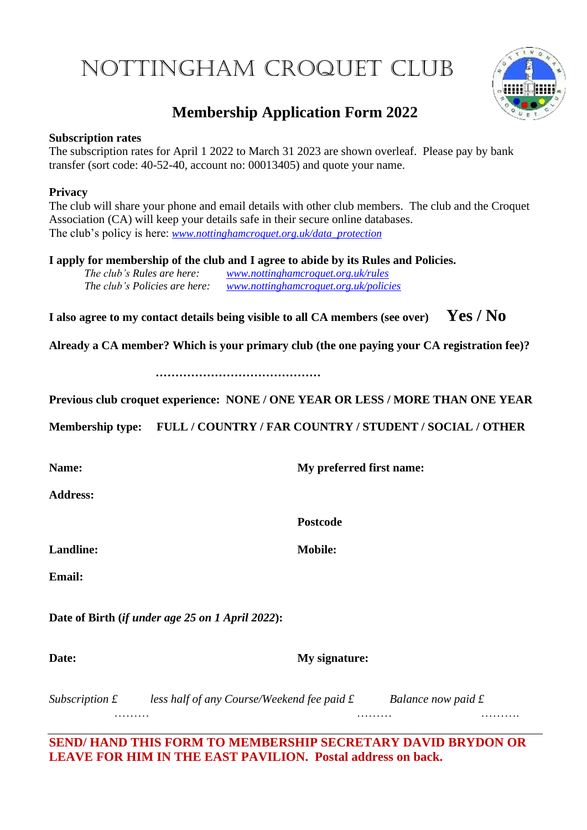# Nottingham Croquet Club



## **Membership Application Form 2022**

#### **Subscription rates**

The subscription rates for April 1 2022 to March 31 2023 are shown overleaf. Please pay by bank transfer (sort code: 40-52-40, account no: 00013405) and quote your name.

#### **Privacy**

The club will share your phone and email details with other club members. The club and the Croquet Association (CA) will keep your details safe in their secure online databases. The club's policy is here: *[www.nottinghamcroquet.org.uk/data\\_protection](http://www.nottinghamcroquet.org.uk/data_protection)*

**I apply for membership of the club and I agree to abide by its Rules and Policies.**

*The club's Rules are here: [www.nottinghamcroquet.org.uk/rules](http://www.nottinghamcroquet.org.uk/rules) The club's Policies are here: [www.nottinghamcroquet.org.uk/policies](http://www.nottinghamcroquet.org.uk/policies)*

**I also agree to my contact details being visible to all CA members (see over) Yes / No**

**Already a CA member? Which is your primary club (the one paying your CA registration fee)?**

**……………………………………**

**Previous club croquet experience: NONE / ONE YEAR OR LESS / MORE THAN ONE YEAR**

**Membership type: FULL / COUNTRY / FAR COUNTRY / STUDENT / SOCIAL / OTHER**

**Name: My preferred first name:**

**Address:**

**Landline: Mobile:**

**Postcode**

**Email:**

**Date of Birth (***if under age 25 on 1 April 2022***):**

**Date: My signature:**

*Subscription £* less half of any Course/Weekend fee paid £ Balance now paid £ ……… ……… ……….

**SEND/ HAND THIS FORM TO MEMBERSHIP SECRETARY DAVID BRYDON OR LEAVE FOR HIM IN THE EAST PAVILION. Postal address on back.**